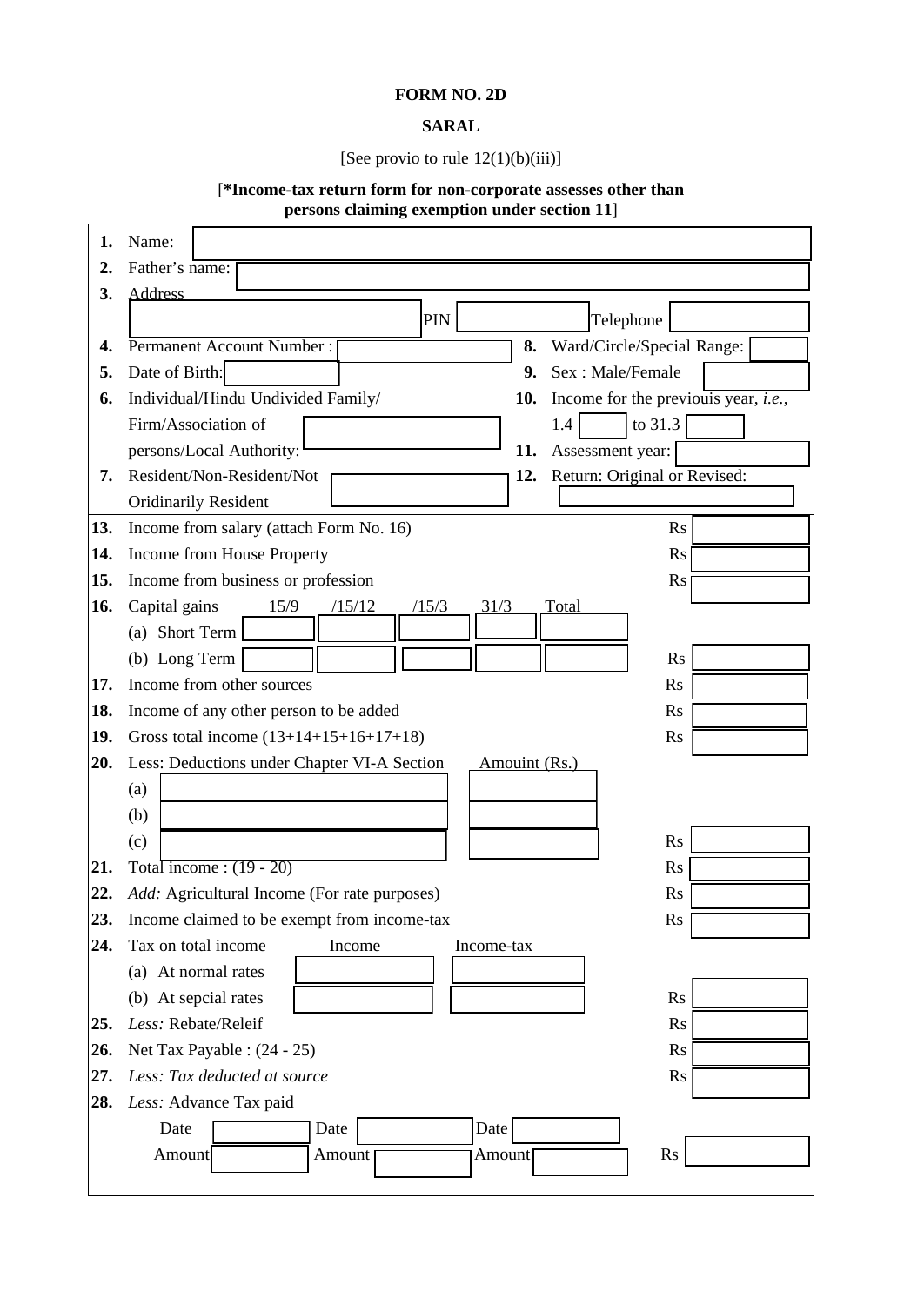## **FORM NO. 2D**

## **SARAL**

## [See provio to rule 12(1)(b)(iii)]

## [**\*Income-tax return form for non-corporate assesses other than persons claiming exemption under section 11**]

 $\overline{\mathbf{r}}$ 

| 1.         | Name:                                                                                    |  |  |  |  |  |  |
|------------|------------------------------------------------------------------------------------------|--|--|--|--|--|--|
| 2.         | Father's name:                                                                           |  |  |  |  |  |  |
| 3.         | <b>Address</b>                                                                           |  |  |  |  |  |  |
|            | PIN<br>Telephone                                                                         |  |  |  |  |  |  |
| 4.         | Permanent Account Number:<br>Ward/Circle/Special Range:<br>8.                            |  |  |  |  |  |  |
| 5.         | Date of Birth:<br>Sex: Male/Female<br>9.                                                 |  |  |  |  |  |  |
| 6.         | Income for the previous year, <i>i.e.</i> ,<br>Individual/Hindu Undivided Family/<br>10. |  |  |  |  |  |  |
|            | Firm/Association of<br>to 31.3<br>1.4                                                    |  |  |  |  |  |  |
|            | persons/Local Authority:<br>Assessment year:<br>11.                                      |  |  |  |  |  |  |
| 7.         | Resident/Non-Resident/Not<br>Return: Original or Revised:<br>12.                         |  |  |  |  |  |  |
|            | <b>Oridinarily Resident</b>                                                              |  |  |  |  |  |  |
| 13.        | Income from salary (attach Form No. 16)<br><b>Rs</b>                                     |  |  |  |  |  |  |
| 14.        | Income from House Property<br>Rs                                                         |  |  |  |  |  |  |
| 15.        | Income from business or profession<br><b>Rs</b>                                          |  |  |  |  |  |  |
| 16.        | Capital gains<br>15/9<br>/15/12<br>Total<br>/15/3<br><u>31/3</u>                         |  |  |  |  |  |  |
|            | (a) Short Term                                                                           |  |  |  |  |  |  |
|            | (b) Long Term<br><b>Rs</b>                                                               |  |  |  |  |  |  |
| 17.        | Income from other sources<br><b>Rs</b>                                                   |  |  |  |  |  |  |
| 18.        | Income of any other person to be added<br><b>Rs</b>                                      |  |  |  |  |  |  |
| 19.        | Gross total income $(13+14+15+16+17+18)$<br>$\mathbf{R}$ s                               |  |  |  |  |  |  |
| 20.        | Less: Deductions under Chapter VI-A Section<br>Amouint (Rs.)                             |  |  |  |  |  |  |
|            | (a)                                                                                      |  |  |  |  |  |  |
|            | (b)                                                                                      |  |  |  |  |  |  |
|            | <b>Rs</b><br>(c)                                                                         |  |  |  |  |  |  |
| 21.        | Total income: $(19 - 20)$<br><b>Rs</b>                                                   |  |  |  |  |  |  |
| 22.        | Add: Agricultural Income (For rate purposes)<br><b>Rs</b>                                |  |  |  |  |  |  |
| 23.<br>24. | Income claimed to be exempt from income-tax<br>R <sub>S</sub>                            |  |  |  |  |  |  |
|            | Tax on total income<br>Income<br>Income-tax<br>(a) At normal rates                       |  |  |  |  |  |  |
|            | (b) At sepcial rates<br>R <sub>S</sub>                                                   |  |  |  |  |  |  |
| 25.        | Less: Rebate/Releif<br><b>Rs</b>                                                         |  |  |  |  |  |  |
| 26.        | Net Tax Payable : (24 - 25)<br><b>Rs</b>                                                 |  |  |  |  |  |  |
| 27.        | Less: Tax deducted at source<br>Rs                                                       |  |  |  |  |  |  |
| 28.        | Less: Advance Tax paid                                                                   |  |  |  |  |  |  |
|            | Date<br>Date<br>Date                                                                     |  |  |  |  |  |  |
|            | Amount<br>Rs<br>Amount<br>Amount                                                         |  |  |  |  |  |  |
|            |                                                                                          |  |  |  |  |  |  |